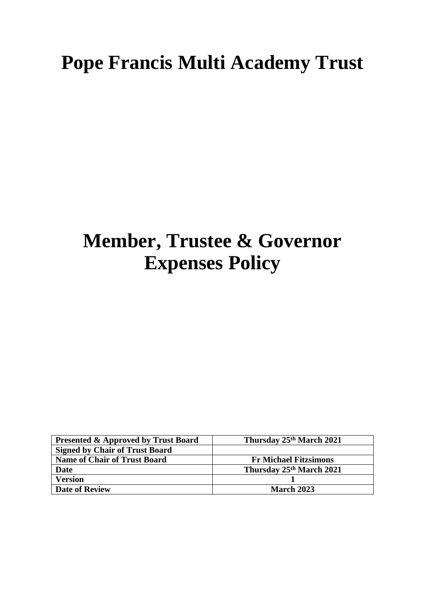# **Pope Francis Multi Academy Trust**

# **Member, Trustee & Governor Expenses Policy**

| <b>Presented &amp; Approved by Trust Board</b> | Thursday 25th March 2021     |
|------------------------------------------------|------------------------------|
| <b>Signed by Chair of Trust Board</b>          |                              |
| <b>Name of Chair of Trust Board</b>            | <b>Fr Michael Fitzsimons</b> |
| <b>Date</b>                                    | Thursday 25th March 2021     |
| <b>Version</b>                                 |                              |
| <b>Date of Review</b>                          | <b>March 2023</b>            |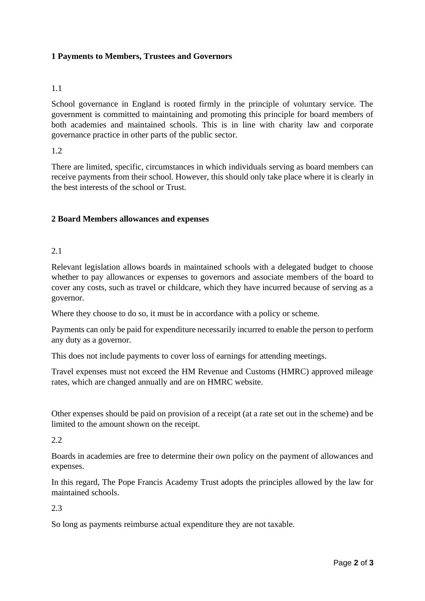# **1 Payments to Members, Trustees and Governors**

#### 1.1

School governance in England is rooted firmly in the principle of voluntary service. The government is committed to maintaining and promoting this principle for board members of both academies and maintained schools. This is in line with charity law and corporate governance practice in other parts of the public sector.

1.2

There are limited, specific, circumstances in which individuals serving as board members can receive payments from their school. However, this should only take place where it is clearly in the best interests of the school or Trust.

## **2 Board Members allowances and expenses**

## 2.1

Relevant legislation allows boards in maintained schools with a delegated budget to choose whether to pay allowances or expenses to governors and associate members of the board to cover any costs, such as travel or childcare, which they have incurred because of serving as a governor.

Where they choose to do so, it must be in accordance with a policy or scheme.

Payments can only be paid for expenditure necessarily incurred to enable the person to perform any duty as a governor.

This does not include payments to cover loss of earnings for attending meetings.

Travel expenses must not exceed the HM Revenue and Customs (HMRC) approved mileage rates, which are changed annually and are on HMRC website.

Other expenses should be paid on provision of a receipt (at a rate set out in the scheme) and be limited to the amount shown on the receipt.

#### 2.2

Boards in academies are free to determine their own policy on the payment of allowances and expenses.

In this regard, The Pope Francis Academy Trust adopts the principles allowed by the law for maintained schools.

2.3

So long as payments reimburse actual expenditure they are not taxable.